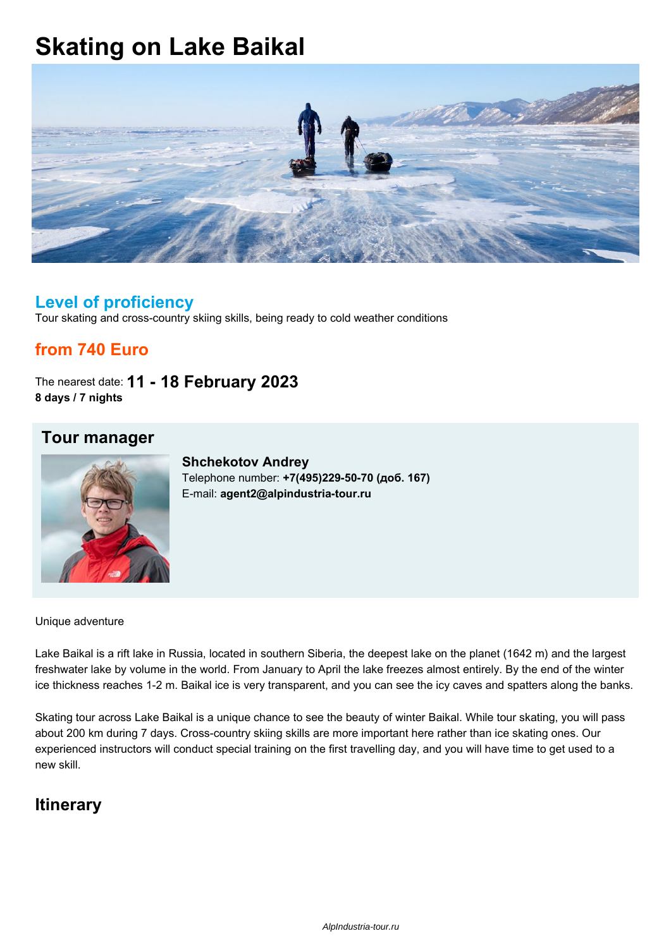# **Skating on Lake Baikal**



#### **Level of proficiency**

Tour skating and cross-country skiing skills, being ready to cold weather conditions

### **from 740 Euro**

The nearest date: **11 - 18 February 2023 8 days / 7 nights**



**Tour manager**

**Shchekotov Andrey** Telephone number: **+7(495)229-50-70 (доб. 167)** E-mail: **agent2@alpindustria-tour.ru**

Unique adventure

Lake Baikal is a rift lake in Russia, located in southern Siberia, the deepest lake on the planet (1642 m) and the largest freshwater lake by volume in the world. From January to April the lake freezes almost entirely. By the end of the winter ice thickness reaches 1-2 m. Baikal ice is very transparent, and you can see the icy caves and spatters along the banks.

Skating tour across Lake Baikal is a unique chance to see the beauty of winter Baikal. While tour skating, you will pass about 200 km during 7 days. Cross-country skiing skills are more important here rather than ice skating ones. Our experienced instructors will conduct special training on the first travelling day, and you will have time to get used to a new skill.

### **Itinerary**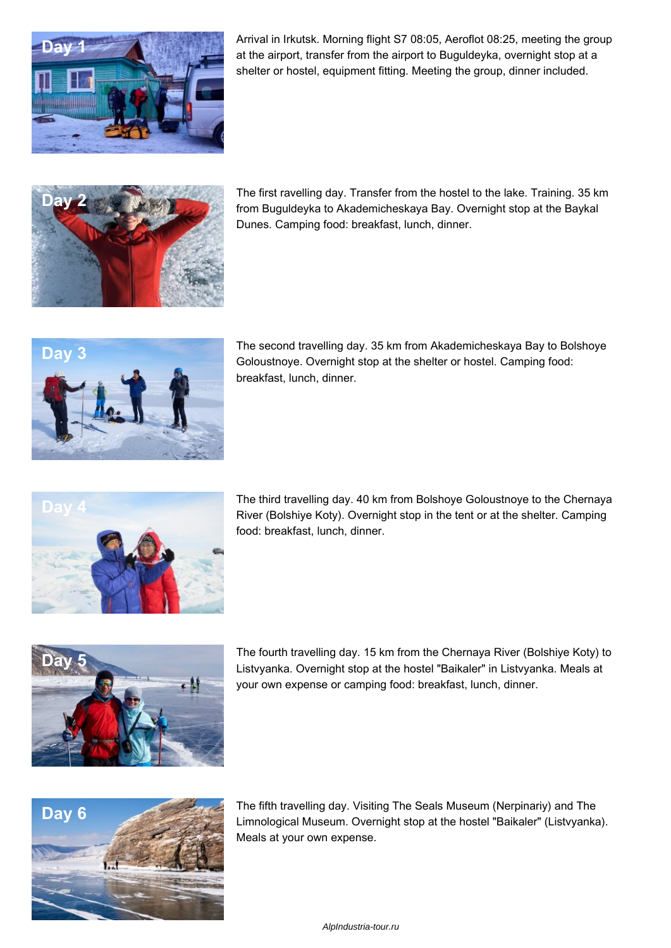

Arrival in Irkutsk. Morning flight S7 08:05, Aeroflot 08:25, meeting the group at the airport, transfer from the airport to Buguldeyka, overnight stop at a shelter or hostel, equipment fitting. Meeting the group, dinner included.



**Day 2** The first ravelling day. Transfer from the hostel to the lake. Training. 35 km from Buguldeyka to Akademicheskaya Bay. Overnight stop at the Baykal Dunes. Camping food: breakfast, lunch, dinner.



**Day 3 The second travelling day. 35 km from Akademicheskaya Bay to Bolshoye** Goloustnoye. Overnight stop at the shelter or hostel. Camping food: breakfast, lunch, dinner.



**Day 4** The third travelling day. 40 km from Bolshoye Goloustnoye to the Chernaya River (Bolshiye Koty). Overnight stop in the tent or at the shelter. Сamping food: breakfast, lunch, dinner.



**Day 5** The fourth travelling day. 15 km from the Chernaya River (Bolshiye Koty) to Listvyanka. Overnight stop at the hostel "Baikaler" in Listvyanka. Meals at your own expense or camping food: breakfast, lunch, dinner.



**Day 6 The fifth travelling day. Visiting The Seals Museum (Nerpinariy) and The Seals Museum (Nerpinariy) and The United States of the According of the According of the According of the According of the According of the** Limnological Museum. Overnight stop at the hostel "Baikaler" (Listvyanka). Meals at your own expense.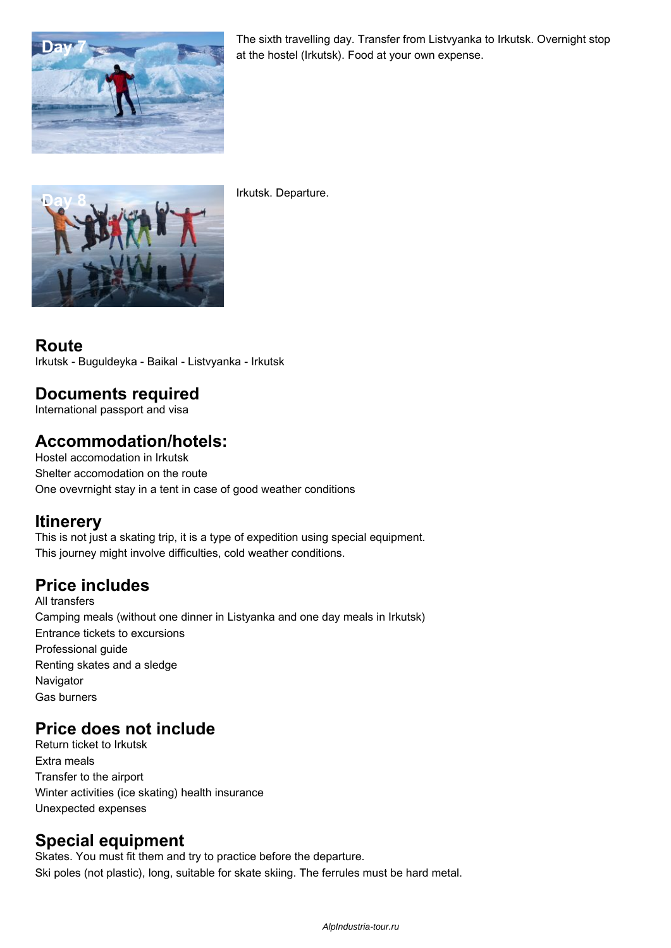

The sixth travelling day. Transfer from Listvyanka to Irkutsk. Overnight stop at the hostel (Irkutsk). Food at your own expense.



**Day 8** Irkutsk. Departure.

#### **Route** Irkutsk - Buguldeyka - Baikal - Listvyanka - Irkutsk

#### **Documents required**

International passport and visa

#### **Accommodation/hotels:**

Hostel accomodation in Irkutsk Shelter accomodation on the route One ovevrnight stay in a tent in case of good weather conditions

#### **Itinerery**

This is not just a skating trip, it is a type of expedition using special equipment. This journey might involve difficulties, cold weather conditions.

## **Price includes**

All transfers Camping meals (without one dinner in Listyanka and one day meals in Irkutsk) Entrance tickets to excursions Professional guide Renting skates and a sledge **Navigator** Gas burners

### **Price does not include**

Return ticket to Irkutsk Extra meals Transfer to the airport Winter activities (ice skating) health insurance Unexpected expenses

### **Special equipment**

Skates. You must fit them and try to practice before the departure. Ski poles (not plastic), long, suitable for skate skiing. The ferrules must be hard metal.